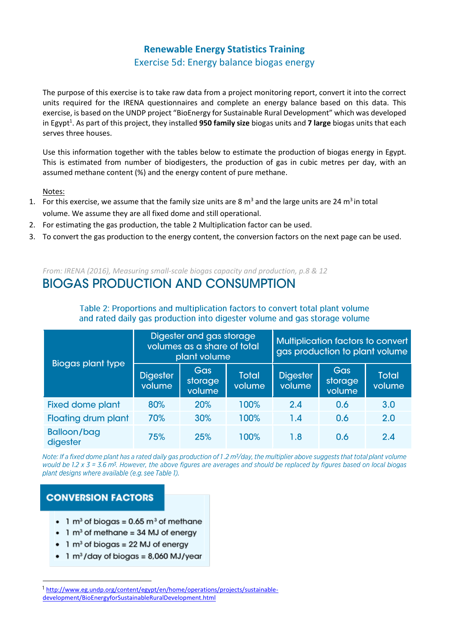# **Renewable Energy Statistics Training**

Exercise 5d: Energy balance biogas energy

The purpose of this exercise is to take raw data from a project monitoring report, convert it into the correct units required for the IRENA questionnaires and complete an energy balance based on this data. This exercise, is based on the UNDP project "BioEnergy for Sustainable Rural Development" which was developed in Egypt<sup>1</sup>. As part of this project, they installed 950 family size biogas units and 7 large biogas units that each serves three houses.

Use this information together with the tables below to estimate the production of biogas energy in Egypt. This is estimated from number of biodigesters, the production of gas in cubic metres per day, with an assumed methane content (%) and the energy content of pure methane.

Notes:

- 1. For this exercise, we assume that the family size units are 8  $m^3$  and the large units are 24  $m^3$  in total volume. We assume they are all fixed dome and still operational.
- 2. For estimating the gas production, the table 2 Multiplication factor can be used.
- 3. To convert the gas production to the energy content, the conversion factors on the next page can be used.

*From: IRENA (2016), Measuring small-scale biogas capacity and production, p.8 & 12*

# **BIOGAS PRODUCTION AND CONSUMPTION**

| <b>Biogas plant type</b>       | Digester and gas storage<br>volumes as a share of total<br>plant volume |                                 |                        | Multiplication factors to convert<br>gas production to plant volume |                                 |                        |
|--------------------------------|-------------------------------------------------------------------------|---------------------------------|------------------------|---------------------------------------------------------------------|---------------------------------|------------------------|
|                                | <b>Digester</b><br>volume                                               | <b>Gas</b><br>storage<br>volume | <b>Total</b><br>volume | <b>Digester</b><br>volume                                           | <b>Gas</b><br>storage<br>volume | <b>Total</b><br>volume |
| <b>Fixed dome plant</b>        | 80%                                                                     | 20%                             | 100%                   | 2.4                                                                 | 0.6                             | 3.0                    |
| <b>Floating drum plant</b>     | 70%                                                                     | 30%                             | 100%                   | 1.4                                                                 | 0.6                             | 2.0                    |
| <b>Balloon/bag</b><br>digester | 75%                                                                     | 25%                             | 100%                   | 1.8                                                                 | 0.6                             | 2.4                    |

#### Table 2: Proportions and multiplication factors to convert total plant volume and rated daily gas production into digester volume and gas storage volume

Note: If a fixed dome plant has a rated daily gas production of 1.2 m<sup>3</sup>/day, the multiplier above suggests that total plant volume would be 1.2 x  $3 = 3.6$  m<sup>3</sup>. However, the above figures are averages and should be replaced by figures based on local biogas plant designs where available (e.g. see Table 1).

### **CONVERSION FACTORS**

- 1  $m<sup>3</sup>$  of biogas = 0.65  $m<sup>3</sup>$  of methane
- $\bullet$  1 m<sup>3</sup> of methane = 34 MJ of energy
- $\bullet$  1 m<sup>3</sup> of biogas = 22 MJ of energy
- $\bullet$  1 m<sup>3</sup>/day of biogas = 8,060 MJ/year

<sup>&</sup>lt;sup>1</sup> [http://www.eg.undp.org/content/egypt/en/home/operations/projects/sustainable](http://www.eg.undp.org/content/egypt/en/home/operations/projects/sustainable-development/BioEnergyforSustainableRuralDevelopment.html)[development/BioEnergyforSustainableRuralDevelopment.html](http://www.eg.undp.org/content/egypt/en/home/operations/projects/sustainable-development/BioEnergyforSustainableRuralDevelopment.html)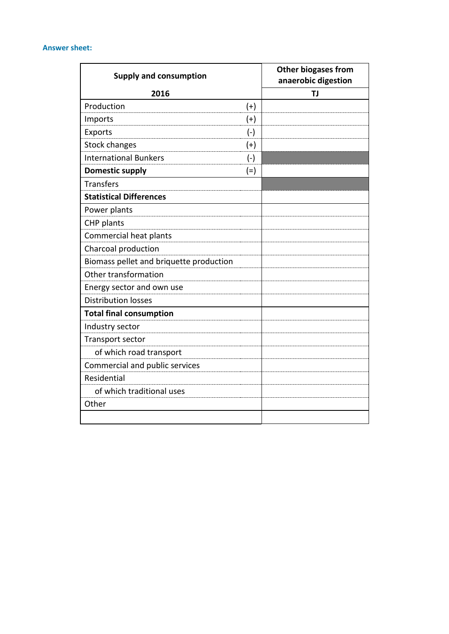#### **Answer sheet:**

| <b>Supply and consumption</b>           | <b>Other biogases from</b><br>anaerobic digestion |    |
|-----------------------------------------|---------------------------------------------------|----|
| 2016                                    |                                                   | ΤJ |
| Production                              | $(+)$                                             |    |
| Imports                                 | $(+)$                                             |    |
| Exports                                 | $(-)$                                             |    |
| <b>Stock changes</b>                    | $(+)$                                             |    |
| <b>International Bunkers</b>            | $(-)$                                             |    |
| <b>Domestic supply</b>                  | $(=)$                                             |    |
| <b>Transfers</b>                        |                                                   |    |
| <b>Statistical Differences</b>          |                                                   |    |
| Power plants                            |                                                   |    |
| CHP plants                              |                                                   |    |
| Commercial heat plants                  |                                                   |    |
| Charcoal production                     |                                                   |    |
| Biomass pellet and briquette production |                                                   |    |
| Other transformation                    |                                                   |    |
| Energy sector and own use               |                                                   |    |
| <b>Distribution losses</b>              |                                                   |    |
| <b>Total final consumption</b>          |                                                   |    |
| Industry sector                         |                                                   |    |
| Transport sector                        |                                                   |    |
| of which road transport                 |                                                   |    |
| Commercial and public services          |                                                   |    |
| Residential                             |                                                   |    |
| of which traditional uses               |                                                   |    |
| Other                                   |                                                   |    |
|                                         |                                                   |    |